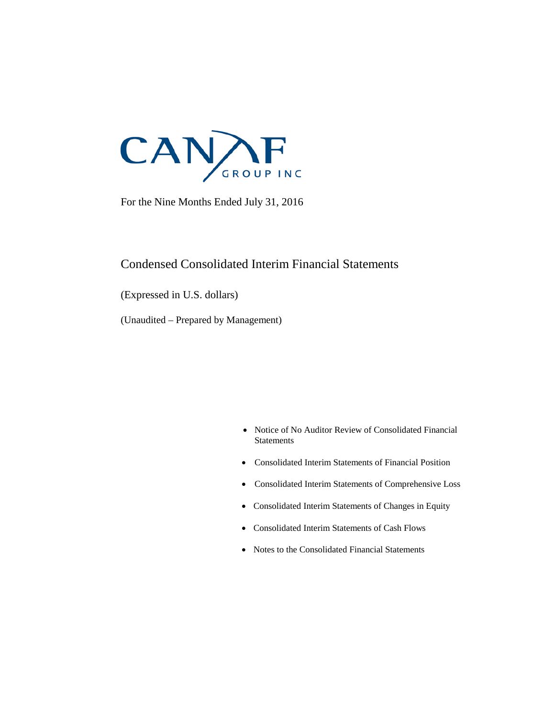

For the Nine Months Ended July 31, 2016

### Condensed Consolidated Interim Financial Statements

(Expressed in U.S. dollars)

(Unaudited – Prepared by Management)

- Notice of No Auditor Review of Consolidated Financial **Statements**
- Consolidated Interim Statements of Financial Position
- Consolidated Interim Statements of Comprehensive Loss
- Consolidated Interim Statements of Changes in Equity
- Consolidated Interim Statements of Cash Flows
- Notes to the Consolidated Financial Statements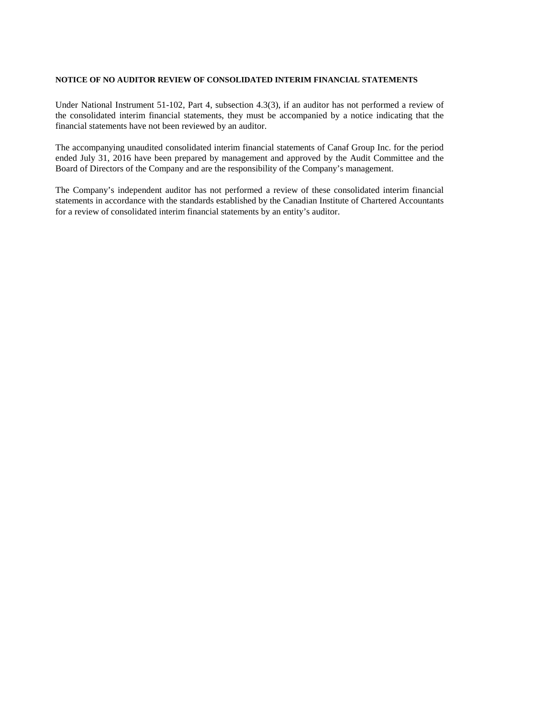#### **NOTICE OF NO AUDITOR REVIEW OF CONSOLIDATED INTERIM FINANCIAL STATEMENTS**

Under National Instrument 51-102, Part 4, subsection 4.3(3), if an auditor has not performed a review of the consolidated interim financial statements, they must be accompanied by a notice indicating that the financial statements have not been reviewed by an auditor.

The accompanying unaudited consolidated interim financial statements of Canaf Group Inc. for the period ended July 31, 2016 have been prepared by management and approved by the Audit Committee and the Board of Directors of the Company and are the responsibility of the Company's management.

The Company's independent auditor has not performed a review of these consolidated interim financial statements in accordance with the standards established by the Canadian Institute of Chartered Accountants for a review of consolidated interim financial statements by an entity's auditor.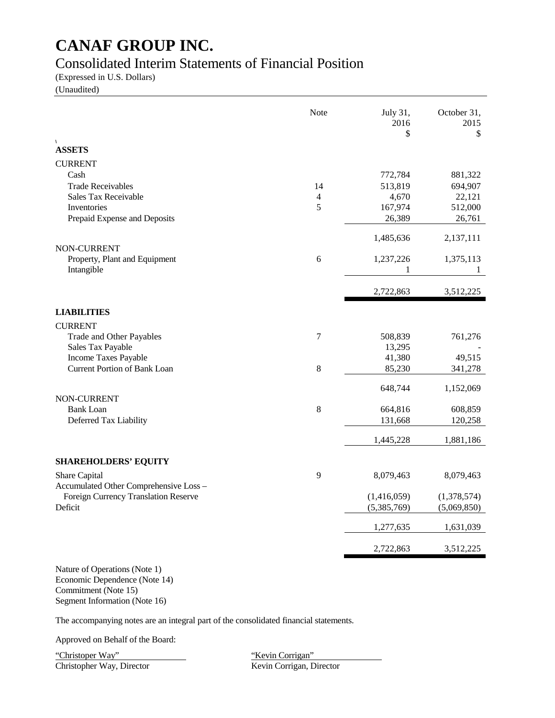### Consolidated Interim Statements of Financial Position

(Expressed in U.S. Dollars)

(Unaudited)

|                                              | Note       | July 31,<br>2016<br>\$ | October 31,<br>2015<br>\$ |
|----------------------------------------------|------------|------------------------|---------------------------|
| $\sqrt{2}$<br><b>ASSETS</b>                  |            |                        |                           |
| <b>CURRENT</b>                               |            |                        |                           |
| Cash                                         |            | 772,784                | 881,322                   |
| <b>Trade Receivables</b>                     | 14         | 513,819                | 694,907                   |
| <b>Sales Tax Receivable</b>                  | 4          | 4,670                  | 22,121                    |
| Inventories                                  | 5          | 167,974                | 512,000                   |
| Prepaid Expense and Deposits                 |            | 26,389                 | 26,761                    |
|                                              |            | 1,485,636              | 2,137,111                 |
| NON-CURRENT<br>Property, Plant and Equipment | $\sqrt{6}$ | 1,237,226              | 1,375,113                 |
| Intangible                                   |            | 1                      | 1                         |
|                                              |            | 2,722,863              | 3,512,225                 |
| <b>LIABILITIES</b>                           |            |                        |                           |
| <b>CURRENT</b>                               |            |                        |                           |
| Trade and Other Payables                     | 7          | 508,839                | 761,276                   |
| Sales Tax Payable                            |            | 13,295                 |                           |
| Income Taxes Payable                         |            | 41,380                 | 49,515                    |
| <b>Current Portion of Bank Loan</b>          | 8          | 85,230                 | 341,278                   |
|                                              |            | 648,744                | 1,152,069                 |
| NON-CURRENT                                  |            |                        |                           |
| <b>Bank Loan</b>                             | 8          | 664,816                | 608,859                   |
| Deferred Tax Liability                       |            | 131,668                | 120,258                   |
|                                              |            | 1,445,228              | 1,881,186                 |
| <b>SHAREHOLDERS' EQUITY</b>                  |            |                        |                           |
| Share Capital                                | 9          | 8,079,463              | 8,079,463                 |
| Accumulated Other Comprehensive Loss -       |            |                        |                           |
| Foreign Currency Translation Reserve         |            | (1,416,059)            | (1,378,574)               |
| Deficit                                      |            | (5,385,769)            | (5,069,850)               |
|                                              |            | 1,277,635              | 1,631,039                 |
|                                              |            | 2,722,863              | 3,512,225                 |
|                                              |            |                        |                           |

Nature of Operations (Note 1) Economic Dependence (Note 14) Commitment (Note 15) Segment Information (Note 16)

The accompanying notes are an integral part of the consolidated financial statements.

Approved on Behalf of the Board:

"Christoper Way" "Christopher Way, Director" ("Kevin Corrigan" ("Kevin Corrigan" ("Kevin Corrigan" ("Kevin Corrigan" ("Kevin Corrigan" ("Kevin Corrigan" ("Kevin Corrigan" ("Kevin Corrigan" ("Kevin Corrigan" ("Kevin Corriga Christopher Way, Director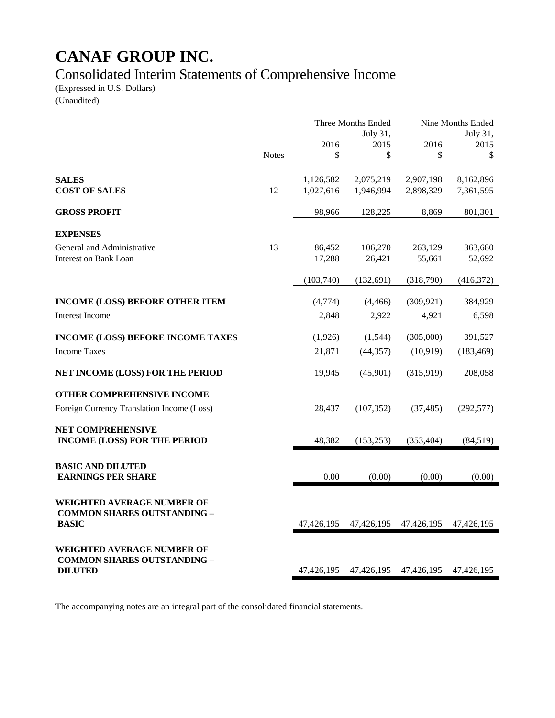# Consolidated Interim Statements of Comprehensive Income

(Expressed in U.S. Dollars)

(Unaudited)

|                                                                                         |              | Three Months Ended<br>July 31,<br>2016<br>2015 |                        | 2016                   | Nine Months Ended<br>July 31,<br>2015 |
|-----------------------------------------------------------------------------------------|--------------|------------------------------------------------|------------------------|------------------------|---------------------------------------|
|                                                                                         | <b>Notes</b> | \$                                             | \$                     | \$                     | \$                                    |
| <b>SALES</b><br><b>COST OF SALES</b>                                                    | 12           | 1,126,582<br>1,027,616                         | 2,075,219<br>1,946,994 | 2,907,198<br>2,898,329 | 8,162,896<br>7,361,595                |
| <b>GROSS PROFIT</b>                                                                     |              | 98,966                                         | 128,225                | 8,869                  | 801,301                               |
| <b>EXPENSES</b>                                                                         |              |                                                |                        |                        |                                       |
| General and Administrative<br>Interest on Bank Loan                                     | 13           | 86,452<br>17,288                               | 106,270<br>26,421      | 263,129<br>55,661      | 363,680<br>52,692                     |
|                                                                                         |              | (103,740)                                      | (132, 691)             | (318,790)              | (416,372)                             |
| <b>INCOME (LOSS) BEFORE OTHER ITEM</b>                                                  |              | (4,774)                                        | (4, 466)               | (309, 921)             | 384,929                               |
| <b>Interest Income</b>                                                                  |              | 2,848                                          | 2,922                  | 4,921                  | 6,598                                 |
| <b>INCOME (LOSS) BEFORE INCOME TAXES</b>                                                |              | (1,926)                                        | (1,544)                | (305,000)              | 391,527                               |
| <b>Income Taxes</b>                                                                     |              | 21,871                                         | (44, 357)              | (10, 919)              | (183, 469)                            |
| NET INCOME (LOSS) FOR THE PERIOD                                                        |              | 19,945                                         | (45,901)               | (315,919)              | 208,058                               |
| <b>OTHER COMPREHENSIVE INCOME</b><br>Foreign Currency Translation Income (Loss)         |              | 28,437                                         | (107, 352)             | (37, 485)              | (292, 577)                            |
| NET COMPREHENSIVE<br><b>INCOME (LOSS) FOR THE PERIOD</b>                                |              | 48,382                                         | (153, 253)             | (353, 404)             | (84,519)                              |
| <b>BASIC AND DILUTED</b><br><b>EARNINGS PER SHARE</b>                                   |              | 0.00                                           | (0.00)                 | (0.00)                 | (0.00)                                |
| <b>WEIGHTED AVERAGE NUMBER OF</b><br><b>COMMON SHARES OUTSTANDING -</b><br><b>BASIC</b> |              | 47,426,195                                     | 47,426,195             | 47,426,195             | 47,426,195                            |
| WEIGHTED AVERAGE NUMBER OF<br><b>COMMON SHARES OUTSTANDING -</b><br><b>DILUTED</b>      |              | 47,426,195                                     |                        | 47,426,195 47,426,195  | 47,426,195                            |

The accompanying notes are an integral part of the consolidated financial statements.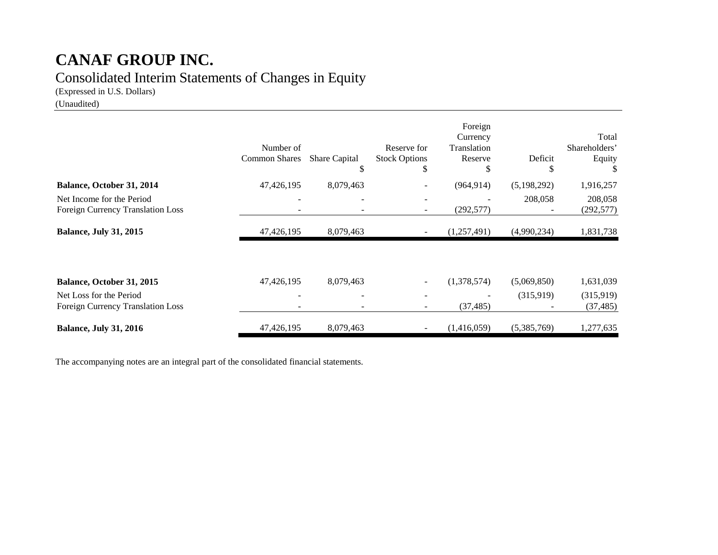# **CANAF GROUP INC.** Consolidated Interim Statements of Changes in Equity

(Expressed in U.S. Dollars)

(Unaudited)

|                                                                | Number of<br><b>Common Shares</b> | <b>Share Capital</b><br>\$ | Reserve for<br><b>Stock Options</b><br>S | Foreign<br>Currency<br>Translation<br>Reserve<br>S | Deficit<br>J | Total<br>Shareholders'<br>Equity |
|----------------------------------------------------------------|-----------------------------------|----------------------------|------------------------------------------|----------------------------------------------------|--------------|----------------------------------|
| Balance, October 31, 2014                                      | 47,426,195                        | 8,079,463                  |                                          | (964, 914)                                         | (5,198,292)  | 1,916,257                        |
| Net Income for the Period<br>Foreign Currency Translation Loss |                                   |                            |                                          | (292, 577)                                         | 208,058      | 208,058<br>(292, 577)            |
| <b>Balance, July 31, 2015</b>                                  | 47,426,195                        | 8,079,463                  |                                          | (1,257,491)                                        | (4,990,234)  | 1,831,738                        |
| Balance, October 31, 2015                                      | 47,426,195                        | 8,079,463                  |                                          | (1,378,574)                                        | (5,069,850)  | 1,631,039                        |
| Net Loss for the Period<br>Foreign Currency Translation Loss   |                                   |                            |                                          | (37, 485)                                          | (315,919)    | (315,919)<br>(37, 485)           |
| <b>Balance, July 31, 2016</b>                                  | 47,426,195                        | 8,079,463                  |                                          | (1,416,059)                                        | (5,385,769)  | 1,277,635                        |

The accompanying notes are an integral part of the consolidated financial statements.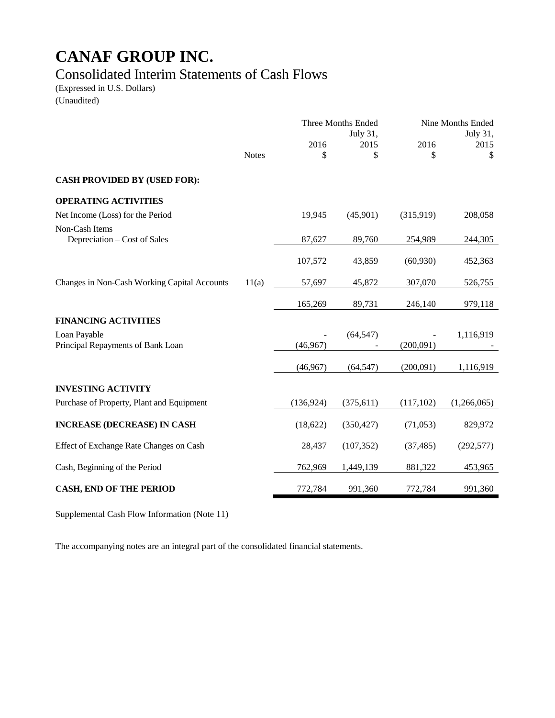### Consolidated Interim Statements of Cash Flows

(Expressed in U.S. Dollars)

(Unaudited)

|                                                   |              | Three Months Ended<br>July 31, |            |            | Nine Months Ended<br>July 31, |
|---------------------------------------------------|--------------|--------------------------------|------------|------------|-------------------------------|
|                                                   | <b>Notes</b> | 2016<br>\$                     | 2015<br>\$ | 2016<br>\$ | 2015<br>\$                    |
| <b>CASH PROVIDED BY (USED FOR):</b>               |              |                                |            |            |                               |
| <b>OPERATING ACTIVITIES</b>                       |              |                                |            |            |                               |
| Net Income (Loss) for the Period                  |              | 19,945                         | (45,901)   | (315,919)  | 208,058                       |
| Non-Cash Items<br>Depreciation - Cost of Sales    |              | 87,627                         | 89,760     | 254,989    | 244,305                       |
|                                                   |              | 107,572                        | 43,859     | (60, 930)  | 452,363                       |
| Changes in Non-Cash Working Capital Accounts      | 11(a)        | 57,697                         | 45,872     | 307,070    | 526,755                       |
|                                                   |              | 165,269                        | 89,731     | 246,140    | 979,118                       |
| <b>FINANCING ACTIVITIES</b>                       |              |                                |            |            |                               |
| Loan Payable<br>Principal Repayments of Bank Loan |              | (46,967)                       | (64, 547)  | (200,091)  | 1,116,919                     |
|                                                   |              | (46,967)                       | (64, 547)  | (200,091)  | 1,116,919                     |
| <b>INVESTING ACTIVITY</b>                         |              |                                |            |            |                               |
| Purchase of Property, Plant and Equipment         |              | (136, 924)                     | (375, 611) | (117, 102) | (1,266,065)                   |
| <b>INCREASE (DECREASE) IN CASH</b>                |              | (18, 622)                      | (350, 427) | (71, 053)  | 829,972                       |
| Effect of Exchange Rate Changes on Cash           |              | 28,437                         | (107, 352) | (37, 485)  | (292, 577)                    |
| Cash, Beginning of the Period                     |              | 762,969                        | 1,449,139  | 881,322    | 453,965                       |
| <b>CASH, END OF THE PERIOD</b>                    |              | 772,784                        | 991,360    | 772,784    | 991,360                       |

Supplemental Cash Flow Information (Note 11)

The accompanying notes are an integral part of the consolidated financial statements.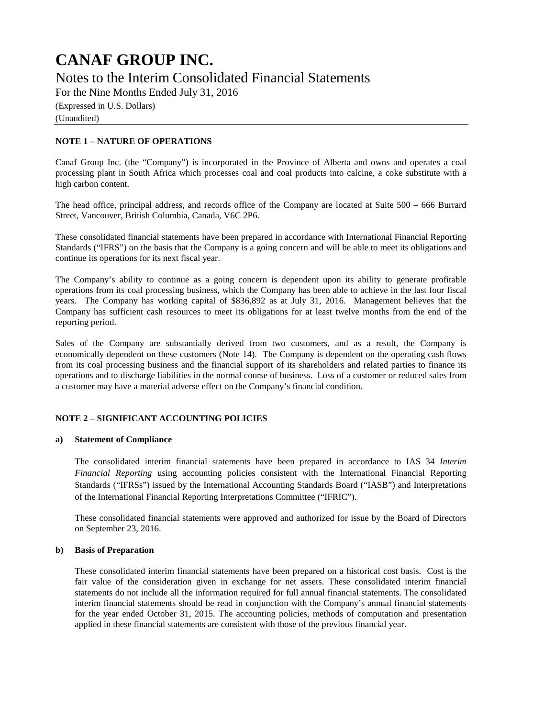For the Nine Months Ended July 31, 2016

(Expressed in U.S. Dollars)

(Unaudited)

### **NOTE 1 – NATURE OF OPERATIONS**

Canaf Group Inc. (the "Company") is incorporated in the Province of Alberta and owns and operates a coal processing plant in South Africa which processes coal and coal products into calcine, a coke substitute with a high carbon content.

The head office, principal address, and records office of the Company are located at Suite 500 – 666 Burrard Street, Vancouver, British Columbia, Canada, V6C 2P6.

These consolidated financial statements have been prepared in accordance with International Financial Reporting Standards ("IFRS") on the basis that the Company is a going concern and will be able to meet its obligations and continue its operations for its next fiscal year.

The Company's ability to continue as a going concern is dependent upon its ability to generate profitable operations from its coal processing business, which the Company has been able to achieve in the last four fiscal years. The Company has working capital of \$836,892 as at July 31, 2016. Management believes that the Company has sufficient cash resources to meet its obligations for at least twelve months from the end of the reporting period.

Sales of the Company are substantially derived from two customers, and as a result, the Company is economically dependent on these customers (Note 14). The Company is dependent on the operating cash flows from its coal processing business and the financial support of its shareholders and related parties to finance its operations and to discharge liabilities in the normal course of business. Loss of a customer or reduced sales from a customer may have a material adverse effect on the Company's financial condition.

#### **NOTE 2 – SIGNIFICANT ACCOUNTING POLICIES**

#### **a) Statement of Compliance**

The consolidated interim financial statements have been prepared in accordance to IAS 34 *Interim Financial Reporting* using accounting policies consistent with the International Financial Reporting Standards ("IFRSs") issued by the International Accounting Standards Board ("IASB") and Interpretations of the International Financial Reporting Interpretations Committee ("IFRIC").

These consolidated financial statements were approved and authorized for issue by the Board of Directors on September 23, 2016.

#### **b) Basis of Preparation**

These consolidated interim financial statements have been prepared on a historical cost basis. Cost is the fair value of the consideration given in exchange for net assets. These consolidated interim financial statements do not include all the information required for full annual financial statements. The consolidated interim financial statements should be read in conjunction with the Company's annual financial statements for the year ended October 31, 2015. The accounting policies, methods of computation and presentation applied in these financial statements are consistent with those of the previous financial year.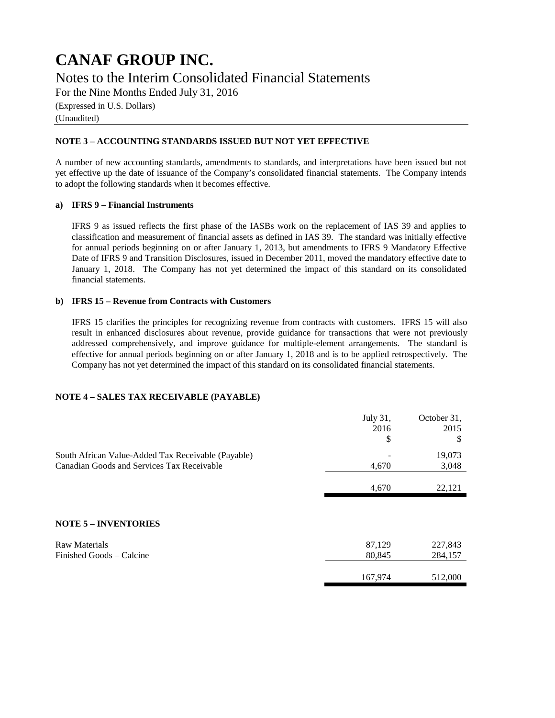For the Nine Months Ended July 31, 2016

(Expressed in U.S. Dollars)

(Unaudited)

### **NOTE 3 – ACCOUNTING STANDARDS ISSUED BUT NOT YET EFFECTIVE**

A number of new accounting standards, amendments to standards, and interpretations have been issued but not yet effective up the date of issuance of the Company's consolidated financial statements. The Company intends to adopt the following standards when it becomes effective.

#### **a) IFRS 9 – Financial Instruments**

IFRS 9 as issued reflects the first phase of the IASBs work on the replacement of IAS 39 and applies to classification and measurement of financial assets as defined in IAS 39. The standard was initially effective for annual periods beginning on or after January 1, 2013, but amendments to IFRS 9 Mandatory Effective Date of IFRS 9 and Transition Disclosures, issued in December 2011, moved the mandatory effective date to January 1, 2018. The Company has not yet determined the impact of this standard on its consolidated financial statements.

#### **b) IFRS 15 – Revenue from Contracts with Customers**

IFRS 15 clarifies the principles for recognizing revenue from contracts with customers. IFRS 15 will also result in enhanced disclosures about revenue, provide guidance for transactions that were not previously addressed comprehensively, and improve guidance for multiple-element arrangements. The standard is effective for annual periods beginning on or after January 1, 2018 and is to be applied retrospectively. The Company has not yet determined the impact of this standard on its consolidated financial statements.

#### **NOTE 4 – SALES TAX RECEIVABLE (PAYABLE)**

|                                                                                                  | July 31,<br>2016<br>\$ | October 31,<br>2015<br>\$ |
|--------------------------------------------------------------------------------------------------|------------------------|---------------------------|
| South African Value-Added Tax Receivable (Payable)<br>Canadian Goods and Services Tax Receivable | 4,670                  | 19,073<br>3,048           |
|                                                                                                  | 4,670                  | 22,121                    |
| <b>NOTE 5 - INVENTORIES</b>                                                                      |                        |                           |
| <b>Raw Materials</b><br>Finished Goods – Calcine                                                 | 87,129<br>80,845       | 227,843<br>284,157        |
|                                                                                                  | 167,974                | 512,000                   |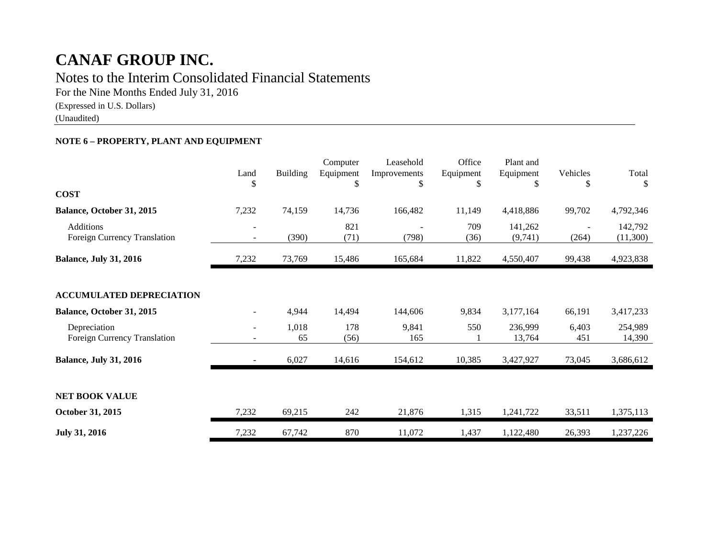### Notes to the Interim Consolidated Financial Statements

For the Nine Months Ended July 31, 2016

(Expressed in U.S. Dollars)

(Unaudited)

### **NOTE 6 – PROPERTY, PLANT AND EQUIPMENT**

|                                              | Land<br>S                     | <b>Building</b> | Computer<br>Equipment<br>\$ | Leasehold<br>Improvements<br>\$ | Office<br>Equipment<br>\$ | Plant and<br>Equipment<br>\$ | Vehicles<br>\$ | Total<br>-S         |
|----------------------------------------------|-------------------------------|-----------------|-----------------------------|---------------------------------|---------------------------|------------------------------|----------------|---------------------|
| <b>COST</b>                                  |                               |                 |                             |                                 |                           |                              |                |                     |
| Balance, October 31, 2015                    | 7,232                         | 74,159          | 14,736                      | 166,482                         | 11,149                    | 4,418,886                    | 99,702         | 4,792,346           |
| Additions<br>Foreign Currency Translation    |                               | (390)           | 821<br>(71)                 | (798)                           | 709<br>(36)               | 141,262<br>(9,741)           | (264)          | 142,792<br>(11,300) |
| <b>Balance, July 31, 2016</b>                | 7,232                         | 73,769          | 15,486                      | 165,684                         | 11,822                    | 4,550,407                    | 99,438         | 4,923,838           |
| <b>ACCUMULATED DEPRECIATION</b>              |                               |                 |                             |                                 |                           |                              |                |                     |
| Balance, October 31, 2015                    |                               | 4,944           | 14,494                      | 144,606                         | 9,834                     | 3,177,164                    | 66,191         | 3,417,233           |
| Depreciation<br>Foreign Currency Translation | $\overline{\phantom{0}}$<br>۰ | 1,018<br>65     | 178<br>(56)                 | 9,841<br>165                    | 550                       | 236,999<br>13,764            | 6,403<br>451   | 254,989<br>14,390   |
| <b>Balance, July 31, 2016</b>                |                               | 6,027           | 14,616                      | 154,612                         | 10,385                    | 3,427,927                    | 73,045         | 3,686,612           |
| <b>NET BOOK VALUE</b>                        |                               |                 |                             |                                 |                           |                              |                |                     |
| October 31, 2015                             | 7,232                         | 69,215          | 242                         | 21,876                          | 1,315                     | 1,241,722                    | 33,511         | 1,375,113           |
| <b>July 31, 2016</b>                         | 7,232                         | 67,742          | 870                         | 11,072                          | 1,437                     | 1,122,480                    | 26,393         | 1,237,226           |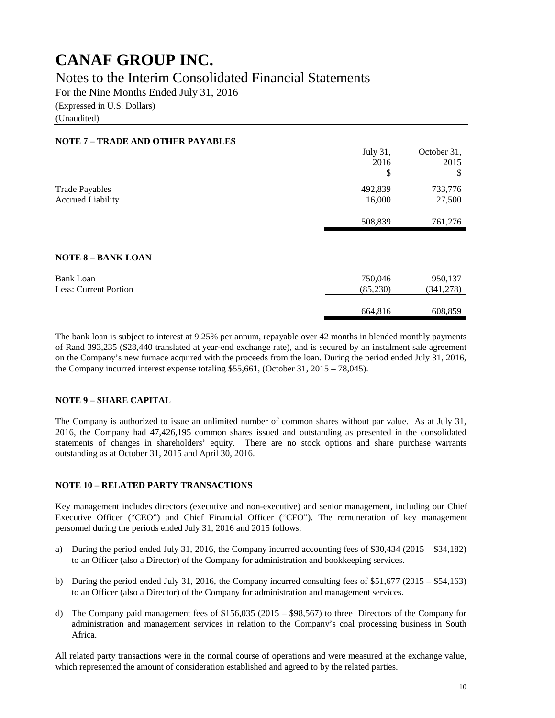Notes to the Interim Consolidated Financial Statements

For the Nine Months Ended July 31, 2016

(Expressed in U.S. Dollars)

(Unaudited)

### **NOTE 7 – TRADE AND OTHER PAYABLES**

|                              | July 31, | October 31, |
|------------------------------|----------|-------------|
|                              | 2016     | 2015        |
|                              | \$       | \$          |
| <b>Trade Payables</b>        | 492,839  | 733,776     |
| <b>Accrued Liability</b>     | 16,000   | 27,500      |
|                              |          |             |
|                              | 508,839  | 761,276     |
|                              |          |             |
|                              |          |             |
| <b>NOTE 8 - BANK LOAN</b>    |          |             |
| <b>Bank Loan</b>             | 750,046  | 950,137     |
| <b>Less: Current Portion</b> | (85,230) | (341, 278)  |
|                              |          |             |
|                              | 664,816  | 608,859     |

The bank loan is subject to interest at 9.25% per annum, repayable over 42 months in blended monthly payments of Rand 393,235 (\$28,440 translated at year-end exchange rate), and is secured by an instalment sale agreement on the Company's new furnace acquired with the proceeds from the loan. During the period ended July 31, 2016, the Company incurred interest expense totaling \$55,661, (October 31, 2015 – 78,045).

#### **NOTE 9 – SHARE CAPITAL**

The Company is authorized to issue an unlimited number of common shares without par value. As at July 31, 2016, the Company had 47,426,195 common shares issued and outstanding as presented in the consolidated statements of changes in shareholders' equity. There are no stock options and share purchase warrants outstanding as at October 31, 2015 and April 30, 2016.

### **NOTE 10 – RELATED PARTY TRANSACTIONS**

Key management includes directors (executive and non-executive) and senior management, including our Chief Executive Officer ("CEO") and Chief Financial Officer ("CFO"). The remuneration of key management personnel during the periods ended July 31, 2016 and 2015 follows:

- a) During the period ended July 31, 2016, the Company incurred accounting fees of \$30,434 (2015 \$34,182) to an Officer (also a Director) of the Company for administration and bookkeeping services.
- b) During the period ended July 31, 2016, the Company incurred consulting fees of \$51,677 (2015 \$54,163) to an Officer (also a Director) of the Company for administration and management services.
- d) The Company paid management fees of \$156,035 (2015 \$98,567) to three Directors of the Company for administration and management services in relation to the Company's coal processing business in South Africa.

All related party transactions were in the normal course of operations and were measured at the exchange value, which represented the amount of consideration established and agreed to by the related parties.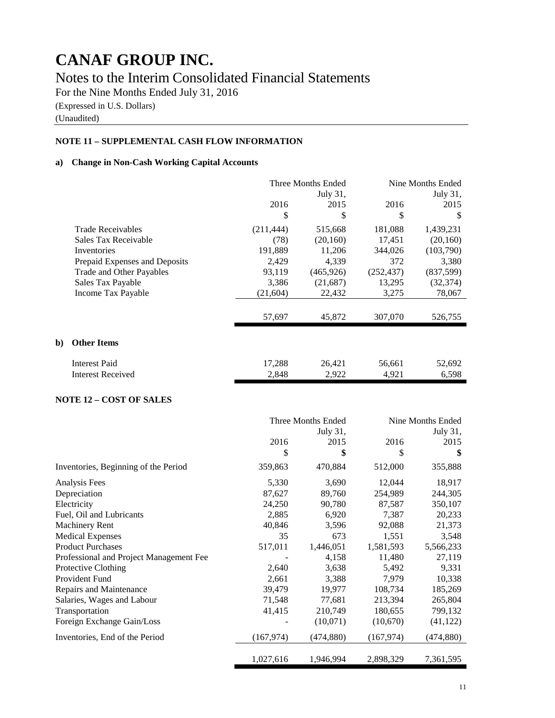Notes to the Interim Consolidated Financial Statements

For the Nine Months Ended July 31, 2016

(Expressed in U.S. Dollars)

(Unaudited)

### **NOTE 11 – SUPPLEMENTAL CASH FLOW INFORMATION**

### **a) Change in Non-Cash Working Capital Accounts**

|    |                               |            | Three Months Ended | Nine Months Ended |           |  |
|----|-------------------------------|------------|--------------------|-------------------|-----------|--|
|    |                               |            | July 31,           |                   | July 31,  |  |
|    |                               | 2016       | 2015               |                   | 2015      |  |
|    |                               | \$         | \$                 | \$                | S         |  |
|    | <b>Trade Receivables</b>      | (211, 444) | 515,668            | 181,088           | 1,439,231 |  |
|    | Sales Tax Receivable          | (78)       | (20, 160)          | 17,451            | (20,160)  |  |
|    | Inventories                   | 191,889    | 11,206             | 344,026           | (103,790) |  |
|    | Prepaid Expenses and Deposits | 2,429      | 4,339              | 372               | 3,380     |  |
|    | Trade and Other Payables      | 93,119     | (465,926)          | (252, 437)        | (837,599) |  |
|    | Sales Tax Payable             | 3,386      | (21, 687)          | 13,295            | (32, 374) |  |
|    | Income Tax Payable            | (21, 604)  | 22,432             | 3,275             | 78,067    |  |
|    |                               |            |                    |                   |           |  |
|    |                               | 57,697     | 45,872             | 307,070           | 526,755   |  |
|    |                               |            |                    |                   |           |  |
| b) | <b>Other Items</b>            |            |                    |                   |           |  |
|    | <b>Interest Paid</b>          | 17,288     | 26,421             | 56,661            | 52,692    |  |
|    | <b>Interest Received</b>      | 2,848      | 2,922              | 4,921             | 6,598     |  |

### **NOTE 12 – COST OF SALES**

|                                         | Three Months Ended |           | Nine Months Ended |            |  |
|-----------------------------------------|--------------------|-----------|-------------------|------------|--|
|                                         |                    | July 31,  |                   | July 31,   |  |
|                                         | 2016               | 2015      | 2016              | 2015       |  |
|                                         | \$                 | \$        | \$                | \$         |  |
| Inventories, Beginning of the Period    | 359,863            | 470,884   | 512,000           | 355,888    |  |
| Analysis Fees                           | 5,330              | 3,690     | 12,044            | 18,917     |  |
| Depreciation                            | 87,627             | 89,760    | 254,989           | 244,305    |  |
| Electricity                             | 24,250             | 90,780    | 87,587            | 350,107    |  |
| Fuel, Oil and Lubricants                | 2,885              | 6,920     | 7,387             | 20,233     |  |
| <b>Machinery Rent</b>                   | 40,846             | 3,596     | 92,088            | 21,373     |  |
| <b>Medical Expenses</b>                 | 35                 | 673       | 1,551             | 3,548      |  |
| <b>Product Purchases</b>                | 517,011            | 1,446,051 | 1,581,593         | 5,566,233  |  |
| Professional and Project Management Fee |                    | 4,158     | 11,480            | 27,119     |  |
| Protective Clothing                     | 2,640              | 3,638     | 5,492             | 9,331      |  |
| <b>Provident Fund</b>                   | 2,661              | 3,388     | 7,979             | 10,338     |  |
| Repairs and Maintenance                 | 39,479             | 19,977    | 108,734           | 185,269    |  |
| Salaries, Wages and Labour              | 71,548             | 77,681    | 213,394           | 265,804    |  |
| Transportation                          | 41,415             | 210,749   | 180,655           | 799,132    |  |
| Foreign Exchange Gain/Loss              |                    | (10,071)  | (10,670)          | (41, 122)  |  |
| Inventories, End of the Period          | (167, 974)         | (474,880) | (167, 974)        | (474, 880) |  |
|                                         | 1,027,616          | 1,946,994 | 2,898,329         | 7,361,595  |  |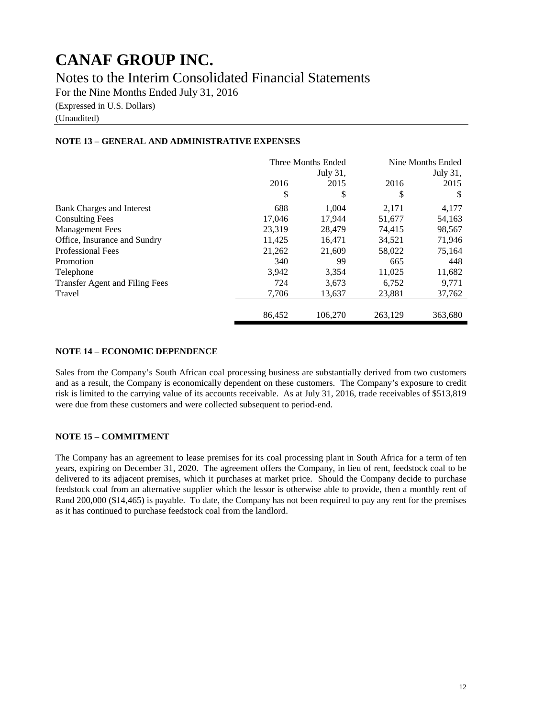Notes to the Interim Consolidated Financial Statements

For the Nine Months Ended July 31, 2016

(Expressed in U.S. Dollars)

(Unaudited)

### **NOTE 13 – GENERAL AND ADMINISTRATIVE EXPENSES**

|                                       | Three Months Ended |          | Nine Months Ended |         |
|---------------------------------------|--------------------|----------|-------------------|---------|
|                                       |                    | July 31, | July 31,          |         |
|                                       | 2016               | 2015     | 2016              | 2015    |
|                                       | \$                 | \$       | \$                | S       |
| Bank Charges and Interest             | 688                | 1.004    | 2,171             | 4,177   |
| <b>Consulting Fees</b>                | 17,046             | 17,944   | 51,677            | 54,163  |
| <b>Management Fees</b>                | 23,319             | 28,479   | 74.415            | 98,567  |
| Office, Insurance and Sundry          | 11,425             | 16.471   | 34,521            | 71,946  |
| <b>Professional Fees</b>              | 21,262             | 21,609   | 58,022            | 75,164  |
| Promotion                             | 340                | 99       | 665               | 448     |
| Telephone                             | 3,942              | 3,354    | 11,025            | 11,682  |
| <b>Transfer Agent and Filing Fees</b> | 724                | 3,673    | 6,752             | 9,771   |
| Travel                                | 7,706              | 13,637   | 23,881            | 37,762  |
|                                       | 86.452             | 106.270  | 263.129           | 363,680 |

### **NOTE 14 – ECONOMIC DEPENDENCE**

Sales from the Company's South African coal processing business are substantially derived from two customers and as a result, the Company is economically dependent on these customers. The Company's exposure to credit risk is limited to the carrying value of its accounts receivable. As at July 31, 2016, trade receivables of \$513,819 were due from these customers and were collected subsequent to period-end.

### **NOTE 15 – COMMITMENT**

The Company has an agreement to lease premises for its coal processing plant in South Africa for a term of ten years, expiring on December 31, 2020. The agreement offers the Company, in lieu of rent, feedstock coal to be delivered to its adjacent premises, which it purchases at market price. Should the Company decide to purchase feedstock coal from an alternative supplier which the lessor is otherwise able to provide, then a monthly rent of Rand 200,000 (\$14,465) is payable. To date, the Company has not been required to pay any rent for the premises as it has continued to purchase feedstock coal from the landlord.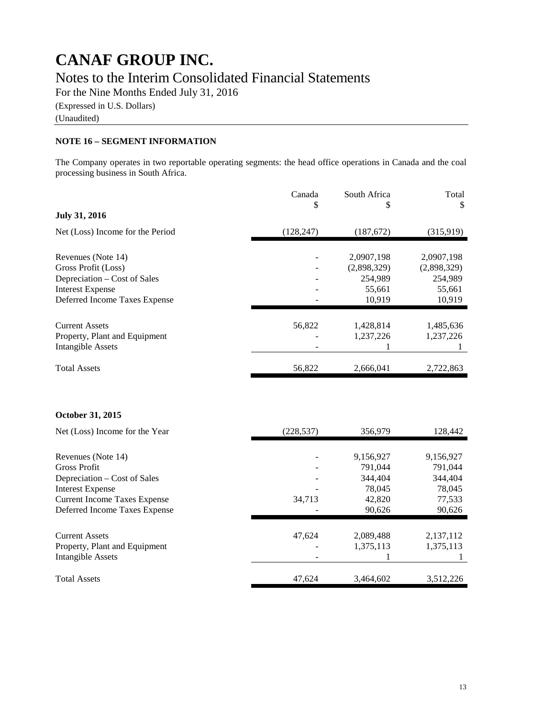For the Nine Months Ended July 31, 2016

(Expressed in U.S. Dollars)

(Unaudited)

### **NOTE 16 – SEGMENT INFORMATION**

The Company operates in two reportable operating segments: the head office operations in Canada and the coal processing business in South Africa.

|                                                                      | Canada     | South Africa     | Total            |
|----------------------------------------------------------------------|------------|------------------|------------------|
| <b>July 31, 2016</b>                                                 | \$         | \$               | \$               |
| Net (Loss) Income for the Period                                     | (128, 247) | (187, 672)       | (315,919)        |
| Revenues (Note 14)                                                   |            | 2,0907,198       | 2,0907,198       |
| Gross Profit (Loss)                                                  |            | (2,898,329)      | (2,898,329)      |
| Depreciation – Cost of Sales                                         |            | 254,989          | 254,989          |
| <b>Interest Expense</b>                                              |            | 55,661           | 55,661           |
| Deferred Income Taxes Expense                                        |            | 10,919           | 10,919           |
| <b>Current Assets</b>                                                | 56,822     | 1,428,814        | 1,485,636        |
| Property, Plant and Equipment                                        |            | 1,237,226        | 1,237,226        |
| <b>Intangible Assets</b>                                             |            | 1                | 1                |
| <b>Total Assets</b>                                                  | 56,822     | 2,666,041        | 2,722,863        |
| October 31, 2015                                                     |            |                  |                  |
| Net (Loss) Income for the Year                                       | (228, 537) | 356,979          | 128,442          |
| Revenues (Note 14)                                                   |            | 9,156,927        | 9,156,927        |
| <b>Gross Profit</b>                                                  |            | 791,044          | 791,044          |
| Depreciation – Cost of Sales                                         |            | 344,404          | 344,404          |
| <b>Interest Expense</b>                                              |            | 78,045           | 78,045           |
| <b>Current Income Taxes Expense</b><br>Deferred Income Taxes Expense | 34,713     | 42,820<br>90,626 | 77,533<br>90,626 |
|                                                                      |            |                  |                  |
| <b>Current Assets</b>                                                | 47,624     | 2,089,488        | 2,137,112        |
| Property, Plant and Equipment                                        |            | 1,375,113        | 1,375,113        |
| <b>Intangible Assets</b>                                             |            |                  | 1                |
| <b>Total Assets</b>                                                  | 47,624     | 3,464,602        | 3,512,226        |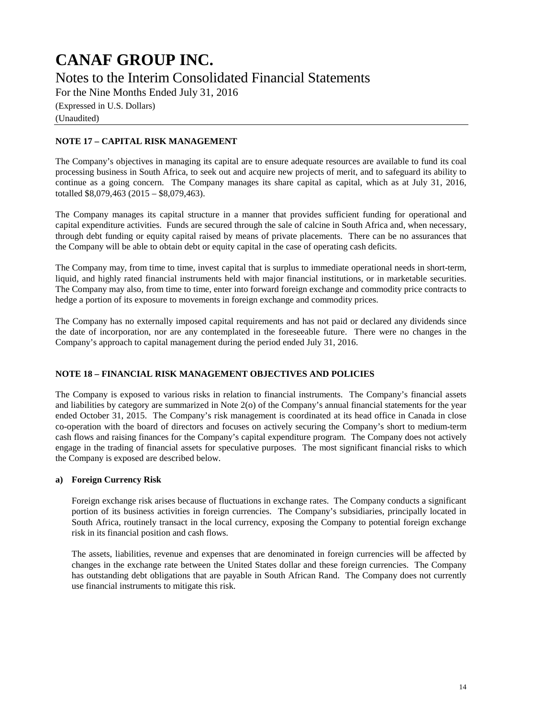### **CANAF GROUP INC.** Notes to the Interim Consolidated Financial Statements For the Nine Months Ended July 31, 2016

(Expressed in U.S. Dollars) (Unaudited)

### **NOTE 17 – CAPITAL RISK MANAGEMENT**

The Company's objectives in managing its capital are to ensure adequate resources are available to fund its coal processing business in South Africa, to seek out and acquire new projects of merit, and to safeguard its ability to continue as a going concern. The Company manages its share capital as capital, which as at July 31, 2016, totalled \$8,079,463 (2015 – \$8,079,463).

The Company manages its capital structure in a manner that provides sufficient funding for operational and capital expenditure activities. Funds are secured through the sale of calcine in South Africa and, when necessary, through debt funding or equity capital raised by means of private placements. There can be no assurances that the Company will be able to obtain debt or equity capital in the case of operating cash deficits.

The Company may, from time to time, invest capital that is surplus to immediate operational needs in short-term, liquid, and highly rated financial instruments held with major financial institutions, or in marketable securities. The Company may also, from time to time, enter into forward foreign exchange and commodity price contracts to hedge a portion of its exposure to movements in foreign exchange and commodity prices.

The Company has no externally imposed capital requirements and has not paid or declared any dividends since the date of incorporation, nor are any contemplated in the foreseeable future. There were no changes in the Company's approach to capital management during the period ended July 31, 2016.

### **NOTE 18 – FINANCIAL RISK MANAGEMENT OBJECTIVES AND POLICIES**

The Company is exposed to various risks in relation to financial instruments. The Company's financial assets and liabilities by category are summarized in Note 2(o) of the Company's annual financial statements for the year ended October 31, 2015. The Company's risk management is coordinated at its head office in Canada in close co-operation with the board of directors and focuses on actively securing the Company's short to medium-term cash flows and raising finances for the Company's capital expenditure program. The Company does not actively engage in the trading of financial assets for speculative purposes. The most significant financial risks to which the Company is exposed are described below.

#### **a) Foreign Currency Risk**

Foreign exchange risk arises because of fluctuations in exchange rates. The Company conducts a significant portion of its business activities in foreign currencies. The Company's subsidiaries, principally located in South Africa, routinely transact in the local currency, exposing the Company to potential foreign exchange risk in its financial position and cash flows.

The assets, liabilities, revenue and expenses that are denominated in foreign currencies will be affected by changes in the exchange rate between the United States dollar and these foreign currencies. The Company has outstanding debt obligations that are payable in South African Rand. The Company does not currently use financial instruments to mitigate this risk.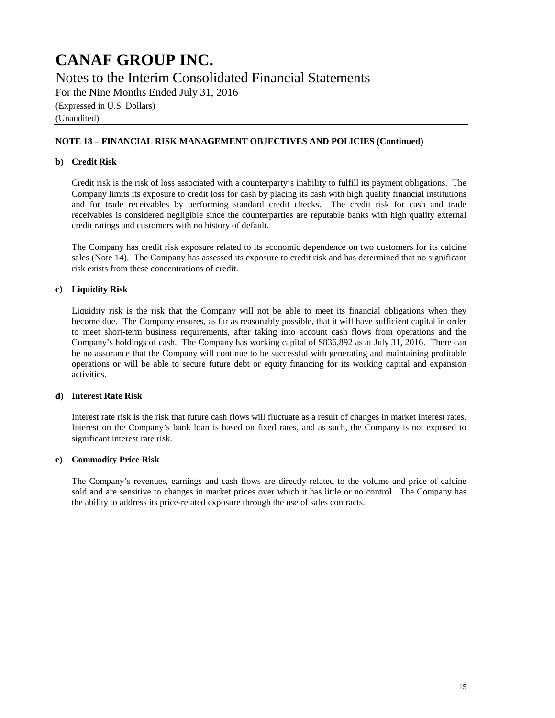### **CANAF GROUP INC.** Notes to the Interim Consolidated Financial Statements For the Nine Months Ended July 31, 2016 (Expressed in U.S. Dollars) (Unaudited)

#### **NOTE 18 – FINANCIAL RISK MANAGEMENT OBJECTIVES AND POLICIES (Continued)**

#### **b) Credit Risk**

Credit risk is the risk of loss associated with a counterparty's inability to fulfill its payment obligations. The Company limits its exposure to credit loss for cash by placing its cash with high quality financial institutions and for trade receivables by performing standard credit checks. The credit risk for cash and trade receivables is considered negligible since the counterparties are reputable banks with high quality external credit ratings and customers with no history of default.

The Company has credit risk exposure related to its economic dependence on two customers for its calcine sales (Note 14). The Company has assessed its exposure to credit risk and has determined that no significant risk exists from these concentrations of credit.

#### **c) Liquidity Risk**

Liquidity risk is the risk that the Company will not be able to meet its financial obligations when they become due. The Company ensures, as far as reasonably possible, that it will have sufficient capital in order to meet short-term business requirements, after taking into account cash flows from operations and the Company's holdings of cash. The Company has working capital of \$836,892 as at July 31, 2016. There can be no assurance that the Company will continue to be successful with generating and maintaining profitable operations or will be able to secure future debt or equity financing for its working capital and expansion activities.

### **d) Interest Rate Risk**

Interest rate risk is the risk that future cash flows will fluctuate as a result of changes in market interest rates. Interest on the Company's bank loan is based on fixed rates, and as such, the Company is not exposed to significant interest rate risk.

#### **e) Commodity Price Risk**

The Company's revenues, earnings and cash flows are directly related to the volume and price of calcine sold and are sensitive to changes in market prices over which it has little or no control. The Company has the ability to address its price-related exposure through the use of sales contracts.